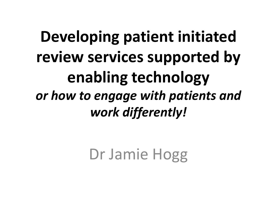## **Developing patient initiated review services supported by enabling technology** *or how to engage with patients and work differently!*

Dr Jamie Hogg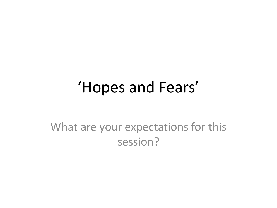### 'Hopes and Fears'

What are your expectations for this session?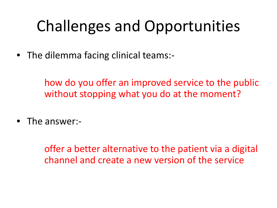## Challenges and Opportunities

• The dilemma facing clinical teams:-

how do you offer an improved service to the public without stopping what you do at the moment?

• The answer:-

offer a better alternative to the patient via a digital channel and create a new version of the service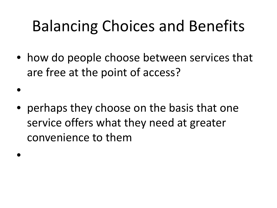## Balancing Choices and Benefits

• how do people choose between services that are free at the point of access?

• perhaps they choose on the basis that one service offers what they need at greater convenience to them

•

•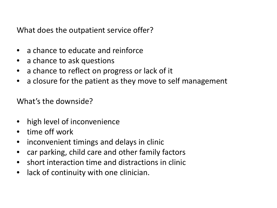What does the outpatient service offer?

- a chance to educate and reinforce
- a chance to ask questions
- a chance to reflect on progress or lack of it
- a closure for the patient as they move to self management

What's the downside?

- high level of inconvenience
- time off work
- inconvenient timings and delays in clinic
- car parking, child care and other family factors
- short interaction time and distractions in clinic
- lack of continuity with one clinician.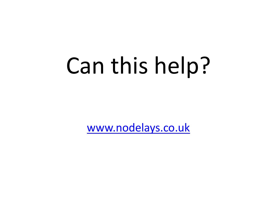# Can this help?

[www.nodelays.co.uk](http://www.nodelays.co.uk/)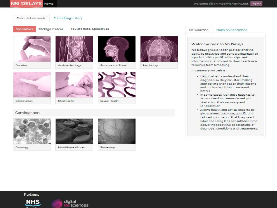#### **NN DELAYS Home**

Consultation mode

Prescribing history

**Specialities** 

Diabetes

Package creator You are here: Specialities





Gastroenterology



Ear Nose and Throat



Respiratory



Child Health



Sexual Health

#### Coming soon

Dermatology



Oncology



Blood Borne Viruses



Endoscopy

Introduction

Quick presentations

#### Welcome back to No Delays

No Delays gives a health professional the ability to prescribe and send a digital pack to a patient with specific video clips and information customised to their needs as a follow up from a meeting.

In summary No Delays:

- · Helps patients understand their diagnosis so they can start making appropriate changes to their lifestyle and understand their treatment better.
- · In some cases it enables patients to access services remotely and get started on their recovery and rehabilitation
- · Allows health and clinical experts to give patients accurate, specific and tailored information that they need while spending less consultation time delivering repetitive descriptions of diagnosis, conditions and treatments.

Partners



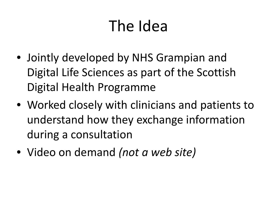### The Idea

- Jointly developed by NHS Grampian and Digital Life Sciences as part of the Scottish Digital Health Programme
- Worked closely with clinicians and patients to understand how they exchange information during a consultation
- Video on demand *(not a web site)*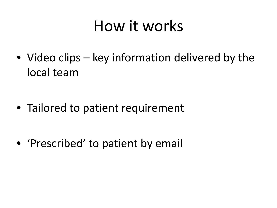### How it works

• Video clips – key information delivered by the local team

• Tailored to patient requirement

• 'Prescribed' to patient by email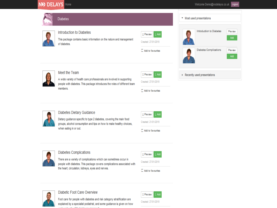#### NO DELAYS Home

Preview

Add

Preview Add



#### Add to favourites



#### Diabetes Dietary Guidance

members.

Dietary guidance specific to type 2 diabetes, covering the main food groups, alcohol consumption and tips on how to make healthy choices, when eating in or out.

| <b>n</b> Preview |  |
|------------------|--|
|                  |  |





#### **Diabetes Complications**

There are a variety of complications which can sometimes occur in people with diabetes. This package covers complications associated with the heart, circulation, kidneys, eyes and nerves.

| <b>TIP VIPW</b><br>n. |
|-----------------------|
|-----------------------|

Created: 27/01/2015

 $\Box$  Add to favourites



#### Diabetic Foot Care Overview

Foot care for people with diabetes and risk category stratification are explained by a specialist podiatrist, and some guidance is given on how



Created: 27/01/2015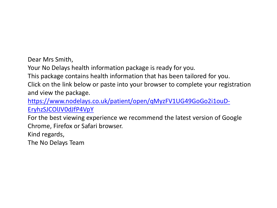Dear Mrs Smith,

Your No Delays health information package is ready for you.

This package contains health information that has been tailored for you.

Click on the link below or paste into your browser to complete your registration and view the package.

[https://www.nodelays.co.uk/patient/open/qMyzFV1UG49GoGo2i1ouD-](https://web.nhs.net/OWA/redir.aspx?C=nGKybL0qFkGhbFUEUxhMFOUlW3zHm9FIxjqC7ENueZTqEkd3K_cX3DUsbgE6f1IymPKaZQkF8vo.&URL=https://www.nodelays.co.uk/patient/open/qMyzFV1UG49GoGo2i1ouD-EryhzSJCOlJV0dJfP4VpY)[EryhzSJCOlJV0dJfP4VpY](https://web.nhs.net/OWA/redir.aspx?C=nGKybL0qFkGhbFUEUxhMFOUlW3zHm9FIxjqC7ENueZTqEkd3K_cX3DUsbgE6f1IymPKaZQkF8vo.&URL=https://www.nodelays.co.uk/patient/open/qMyzFV1UG49GoGo2i1ouD-EryhzSJCOlJV0dJfP4VpY)

For the best viewing experience we recommend the latest version of Google Chrome, Firefox or Safari browser.

Kind regards,

The No Delays Team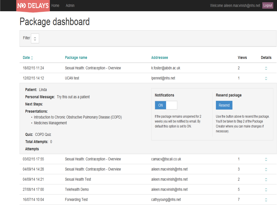### Package dashboard

Filter  $\Box$ 

| Date $\square$                                                                                                                                                                                                  | Package name                                                   | Addressee                                                                                                                                           |                                               | <b>Views</b>                                                                                                                     | <b>Details</b> |
|-----------------------------------------------------------------------------------------------------------------------------------------------------------------------------------------------------------------|----------------------------------------------------------------|-----------------------------------------------------------------------------------------------------------------------------------------------------|-----------------------------------------------|----------------------------------------------------------------------------------------------------------------------------------|----------------|
| 18/02/15 11:24                                                                                                                                                                                                  | Sexual Health: Contraception - Overview                        | k.foster@abdn.ac.uk                                                                                                                                 |                                               | 2                                                                                                                                | П              |
| 12/02/15 14:12                                                                                                                                                                                                  | <b>UCAN</b> test                                               | lpennet@nhs.net                                                                                                                                     |                                               | И                                                                                                                                | п              |
| Patient: Linda<br><b>Personal Message:</b> Try this out as a patient<br><b>Next Steps:</b><br><b>Presentations:</b><br>• Medicines Management<br>Quiz: COPD Quiz<br><b>Total Attempts: 0</b><br><b>Attempts</b> | • Introduction to Chronic Obstructive Pulmonary Disease (COPD) | <b>Notifications</b><br>ON<br>If the package remains unopened for 2<br>weeks you will be notified by email. By<br>default this option is set to ON. | <b>Resend package</b><br>Resend<br>necessary. | Use the button above to resend the package.<br>You'll be taken to Step 2 of the Package<br>Creator where you can make changes if |                |
| 03/02/15 17:55                                                                                                                                                                                                  | Sexual Health: Contraception - Overview                        | camacv@tiscali.co.uk                                                                                                                                |                                               | 1                                                                                                                                | п              |
| 04/09/14 14:28                                                                                                                                                                                                  | Sexual Health: Contraception - Overview                        | aileen.macvinish@nhs.net                                                                                                                            |                                               | 3                                                                                                                                | п              |
| 04/09/14 14:21                                                                                                                                                                                                  | <b>Sexual Health Test</b>                                      | aileen.macvinish@nhs.net                                                                                                                            |                                               | 2                                                                                                                                | п              |
| 27/08/14 17:00                                                                                                                                                                                                  | <b>Telehealth Demo</b>                                         | aileen.macvinish@nhs.net                                                                                                                            |                                               | 5                                                                                                                                | п              |
| 16/07/14 10:04                                                                                                                                                                                                  | <b>Forwarding Test</b>                                         | cathyyoung@nhs.net                                                                                                                                  |                                               | 7                                                                                                                                | о              |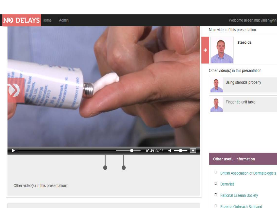### **ND DELAYS** Home

Admin

#### Welcome aileen macvinish@nh



Main video of this presentation



**Steroids** 

Other video(s) in this presentation



Using steroids properly



Finger tip unit table

#### Other useful information

- $\Box$  British Association of Dermatologists
- $\Box$  DermNet
- D National Eczema Society
- Freema Outreach Scotland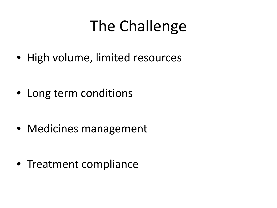### The Challenge

• High volume, limited resources

• Long term conditions

• Medicines management

• Treatment compliance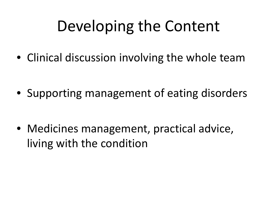### Developing the Content

• Clinical discussion involving the whole team

• Supporting management of eating disorders

• Medicines management, practical advice, living with the condition